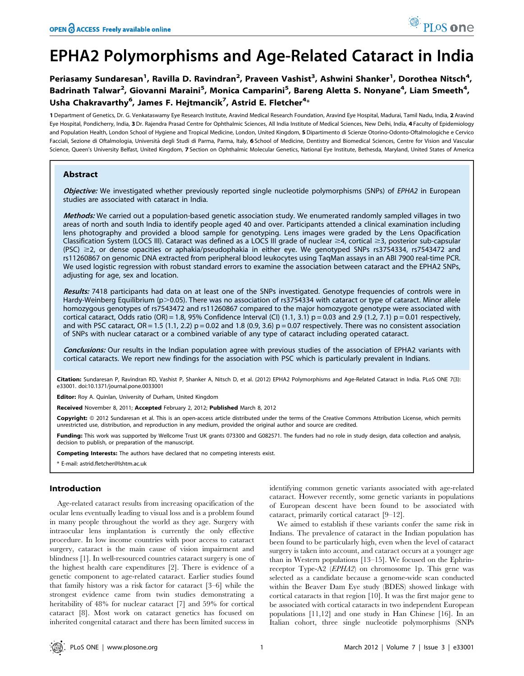# EPHA2 Polymorphisms and Age-Related Cataract in India

Periasamy Sundaresan<sup>1</sup>, Ravilla D. Ravindran<sup>2</sup>, Praveen Vashist<sup>3</sup>, Ashwini Shanker<sup>1</sup>, Dorothea Nitsch<sup>4</sup>, Badrinath Talwar<sup>2</sup>, Giovanni Maraini<sup>5</sup>, Monica Camparini<sup>5</sup>, Bareng Aletta S. Nonyane<sup>4</sup>, Liam Smeeth<sup>4</sup>, Usha Chakravarthy<sup>6</sup>, James F. Hejtmancik<sup>7</sup>, Astrid E. Fletcher<sup>4</sup>\*

1 Department of Genetics, Dr. G. Venkataswamy Eye Research Institute, Aravind Medical Research Foundation, Aravind Eye Hospital, Madurai, Tamil Nadu, India, 2 Aravind Eye Hospital, Pondicherry, India, 3 Dr. Rajendra Prasad Centre for Ophthalmic Sciences, All India Institute of Medical Sciences, New Delhi, India, 4 Faculty of Epidemiology and Population Health, London School of Hygiene and Tropical Medicine, London, United Kingdom, 5 Dipartimento di Scienze Otorino-Odonto-Oftalmologiche e Cervico Facciali, Sezione di Oftalmologia, Università degli Studi di Parma, Parma, Italy, 6 School of Medicine, Dentistry and Biomedical Sciences, Centre for Vision and Vascular Science, Queen's University Belfast, United Kingdom, 7 Section on Ophthalmic Molecular Genetics, National Eye Institute, Bethesda, Maryland, United States of America

# Abstract

Objective: We investigated whether previously reported single nucleotide polymorphisms (SNPs) of EPHA2 in European studies are associated with cataract in India.

Methods: We carried out a population-based genetic association study. We enumerated randomly sampled villages in two areas of north and south India to identify people aged 40 and over. Participants attended a clinical examination including lens photography and provided a blood sample for genotyping. Lens images were graded by the Lens Opacification Classification System (LOCS III). Cataract was defined as a LOCS III grade of nuclear  $\geq 4$ , cortical  $\geq 3$ , posterior sub-capsular  $(PSC) \geq 2$ , or dense opacities or aphakia/pseudophakia in either eye. We genotyped SNPs rs3754334, rs7543472 and rs11260867 on genomic DNA extracted from peripheral blood leukocytes using TaqMan assays in an ABI 7900 real-time PCR. We used logistic regression with robust standard errors to examine the association between cataract and the EPHA2 SNPs, adjusting for age, sex and location.

Results: 7418 participants had data on at least one of the SNPs investigated. Genotype frequencies of controls were in Hardy-Weinberg Equilibrium ( $p > 0.05$ ). There was no association of rs3754334 with cataract or type of cataract. Minor allele homozygous genotypes of rs7543472 and rs11260867 compared to the major homozygote genotype were associated with cortical cataract, Odds ratio (OR) = 1.8, 95% Confidence Interval (CI) (1.1, 3.1)  $p = 0.03$  and 2.9 (1.2, 7.1)  $p = 0.01$  respectively, and with PSC cataract,  $OR = 1.5$  (1.1, 2.2)  $p = 0.02$  and 1.8 (0.9, 3.6)  $p = 0.07$  respectively. There was no consistent association of SNPs with nuclear cataract or a combined variable of any type of cataract including operated cataract.

Conclusions: Our results in the Indian population agree with previous studies of the association of EPHA2 variants with cortical cataracts. We report new findings for the association with PSC which is particularly prevalent in Indians.

Citation: Sundaresan P, Ravindran RD, Vashist P, Shanker A, Nitsch D, et al. (2012) EPHA2 Polymorphisms and Age-Related Cataract in India. PLoS ONE 7(3): e33001. doi:10.1371/journal.pone.0033001

Editor: Roy A. Quinlan, University of Durham, United Kingdom

Received November 8, 2011; Accepted February 2, 2012; Published March 8, 2012

Copyright: © 2012 Sundaresan et al. This is an open-access article distributed under the terms of the Creative Commons Attribution License, which permits unrestricted use, distribution, and reproduction in any medium, provided the original author and source are credited.

Funding: This work was supported by Wellcome Trust UK grants 073300 and G082571. The funders had no role in study design, data collection and analysis, decision to publish, or preparation of the manuscript.

Competing Interests: The authors have declared that no competing interests exist.

\* E-mail: astrid.fletcher@lshtm.ac.uk

# Introduction

Age-related cataract results from increasing opacification of the ocular lens eventually leading to visual loss and is a problem found in many people throughout the world as they age. Surgery with intraocular lens implantation is currently the only effective procedure. In low income countries with poor access to cataract surgery, cataract is the main cause of vision impairment and blindness [1]. In well-resourced countries cataract surgery is one of the highest health care expenditures [2]. There is evidence of a genetic component to age-related cataract. Earlier studies found that family history was a risk factor for cataract [3–6] while the strongest evidence came from twin studies demonstrating a heritability of 48% for nuclear cataract [7] and 59% for cortical cataract [8]. Most work on cataract genetics has focused on inherited congenital cataract and there has been limited success in

identifying common genetic variants associated with age-related cataract. However recently, some genetic variants in populations of European descent have been found to be associated with cataract, primarily cortical cataract [9–12].

We aimed to establish if these variants confer the same risk in Indians. The prevalence of cataract in the Indian population has been found to be particularly high, even when the level of cataract surgery is taken into account, and cataract occurs at a younger age than in Western populations [13–15]. We focused on the Ephrinreceptor Type-A2 (EPHA2) on chromosome 1p. This gene was selected as a candidate because a genome-wide scan conducted within the Beaver Dam Eye study (BDES) showed linkage with cortical cataracts in that region [10]. It was the first major gene to be associated with cortical cataracts in two independent European populations [11,12] and one study in Han Chinese [16]. In an Italian cohort, three single nucleotide polymorphisms (SNPs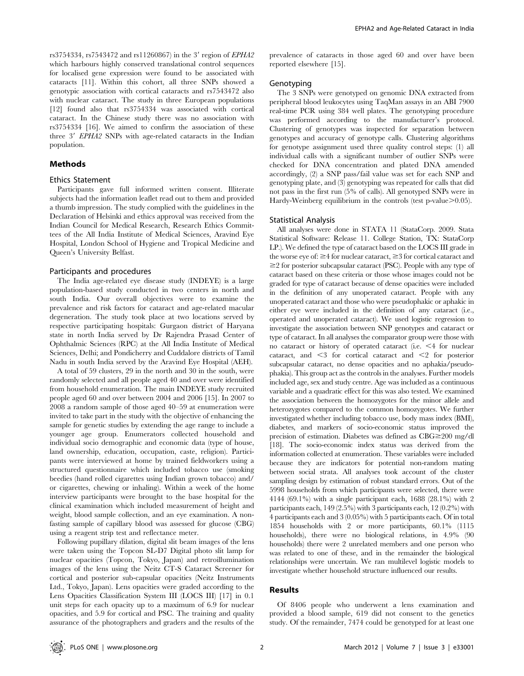rs3754334, rs7543472 and rs11260867) in the 3' region of EPHA2 which harbours highly conserved translational control sequences for localised gene expression were found to be associated with cataracts [11]. Within this cohort, all three SNPs showed a genotypic association with cortical cataracts and rs7543472 also with nuclear cataract. The study in three European populations [12] found also that rs3754334 was associated with cortical cataract. In the Chinese study there was no association with rs3754334 [16]. We aimed to confirm the association of these three  $3'$  EPHA2 SNPs with age-related cataracts in the Indian population.

## Methods

### Ethics Statement

Participants gave full informed written consent. Illiterate subjects had the information leaflet read out to them and provided a thumb impression. The study complied with the guidelines in the Declaration of Helsinki and ethics approval was received from the Indian Council for Medical Research, Research Ethics Committees of the All India Institute of Medical Sciences, Aravind Eye Hospital, London School of Hygiene and Tropical Medicine and Queen's University Belfast.

## Participants and procedures

The India age-related eye disease study (INDEYE) is a large population-based study conducted in two centers in north and south India. Our overall objectives were to examine the prevalence and risk factors for cataract and age-related macular degeneration. The study took place at two locations served by respective participating hospitals: Gurgaon district of Haryana state in north India served by Dr Rajendra Prasad Center of Ophthalmic Sciences (RPC) at the All India Institute of Medical Sciences, Delhi; and Pondicherry and Cuddalore districts of Tamil Nadu in south India served by the Aravind Eye Hospital (AEH).

A total of 59 clusters, 29 in the north and 30 in the south, were randomly selected and all people aged 40 and over were identified from household enumeration. The main INDEYE study recruited people aged 60 and over between 2004 and 2006 [15]. In 2007 to 2008 a random sample of those aged 40–59 at enumeration were invited to take part in the study with the objective of enhancing the sample for genetic studies by extending the age range to include a younger age group. Enumerators collected household and individual socio demographic and economic data (type of house, land ownership, education, occupation, caste, religion). Participants were interviewed at home by trained fieldworkers using a structured questionnaire which included tobacco use (smoking beedies (hand rolled cigarettes using Indian grown tobacco) and/ or cigarettes, chewing or inhaling). Within a week of the home interview participants were brought to the base hospital for the clinical examination which included measurement of height and weight, blood sample collection, and an eye examination. A nonfasting sample of capillary blood was assessed for glucose (CBG) using a reagent strip test and reflectance meter.

Following pupillary dilation, digital slit beam images of the lens were taken using the Topcon SL-D7 Digital photo slit lamp for nuclear opacities (Topcon, Tokyo, Japan) and retroillumination images of the lens using the Neitz CT-S Cataract Screener for cortical and posterior sub-capsular opacities (Neitz Instruments Ltd., Tokyo, Japan). Lens opacities were graded according to the Lens Opacities Classification System III (LOCS III) [17] in 0.1 unit steps for each opacity up to a maximum of 6.9 for nuclear opacities, and 5.9 for cortical and PSC. The training and quality assurance of the photographers and graders and the results of the

prevalence of cataracts in those aged 60 and over have been reported elsewhere [15].

## Genotyping

The 3 SNPs were genotyped on genomic DNA extracted from peripheral blood leukocytes using TaqMan assays in an ABI 7900 real-time PCR using 384 well plates. The genotyping procedure was performed according to the manufacturer's protocol. Clustering of genotypes was inspected for separation between genotypes and accuracy of genotype calls. Clustering algorithms for genotype assignment used three quality control steps: (1) all individual calls with a significant number of outlier SNPs were checked for DNA concentration and plated DNA amended accordingly, (2) a SNP pass/fail value was set for each SNP and genotyping plate, and (3) genotyping was repeated for calls that did not pass in the first run (5% of calls). All genotyped SNPs were in Hardy-Weinberg equilibrium in the controls (test p-value $\geq 0.05$ ).

#### Statistical Analysis

All analyses were done in STATA 11 (StataCorp. 2009. Stata Statistical Software: Release 11. College Station, TX: StataCorp LP.). We defined the type of cataract based on the LOCS III grade in the worse eye of:  $\geq$ 4 for nuclear cataract,  $\geq$ 3 for cortical cataract and  $\geq$  2 for posterior subcapsular cataract (PSC). People with any type of cataract based on these criteria or those whose images could not be graded for type of cataract because of dense opacities were included in the definition of any unoperated cataract. People with any unoperated cataract and those who were pseudophakic or aphakic in either eye were included in the definition of any cataract (i.e., operated and unoperated cataract). We used logistic regression to investigate the association between SNP genotypes and cataract or type of cataract. In all analyses the comparator group were those with no cataract or history of operated cataract (i.e.  $\leq 4$  for nuclear cataract, and  $\leq$  for cortical cataract and  $\leq$  for posterior subcapsular cataract, no dense opacities and no aphakia/pseudophakia). This group act as the controls in the analyses. Further models included age, sex and study centre. Age was included as a continuous variable and a quadratic effect for this was also tested. We examined the association between the homozygotes for the minor allele and heterozygotes compared to the common homozygotes. We further investigated whether including tobacco use, body mass index (BMI), diabetes, and markers of socio-economic status improved the precision of estimation. Diabetes was defined as  $CBG \geq 200$  mg/dl [18]. The socio-economic index status was derived from the information collected at enumeration. These variables were included because they are indicators for potential non-random mating between social strata. All analyses took account of the cluster sampling design by estimation of robust standard errors. Out of the 5998 households from which participants were selected, there were 4144 (69.1%) with a single participant each, 1688 (28.1%) with 2 participants each, 149 (2.5%) with 3 participants each, 12 (0.2%) with 4 participants each and 3 (0.05%) with 5 participants each. Of in total 1854 households with 2 or more participants, 60.1% (1115 households), there were no biological relations, in 4.9% (90 households) there were 2 unrelated members and one person who was related to one of these, and in the remainder the biological relationships were uncertain. We ran multilevel logistic models to investigate whether household structure influenced our results.

## Results

Of 8406 people who underwent a lens examination and provided a blood sample, 619 did not consent to the genetics study. Of the remainder, 7474 could be genotyped for at least one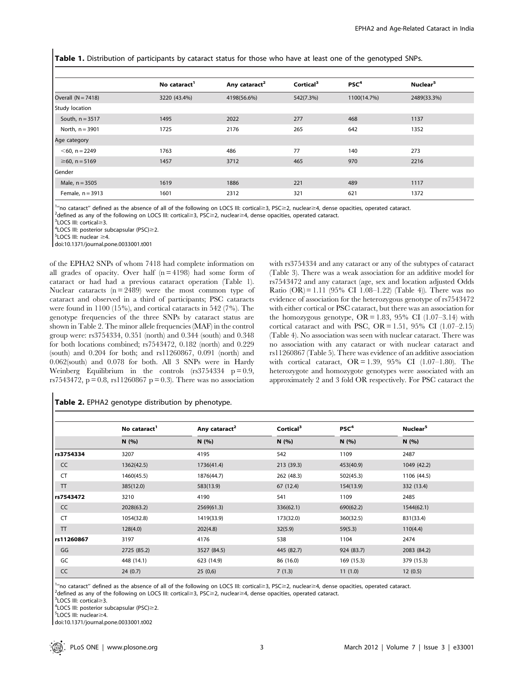Table 1. Distribution of participants by cataract status for those who have at least one of the genotyped SNPs.

|                       | No cataract <sup>1</sup> | Any cataract <sup>2</sup> | Cortical <sup>3</sup> | PSC <sup>4</sup> | Nuclear <sup>5</sup> |
|-----------------------|--------------------------|---------------------------|-----------------------|------------------|----------------------|
| Overall $(N = 7418)$  | 3220 (43.4%)             | 4198(56.6%)               | 542(7.3%)             | 1100(14.7%)      | 2489(33.3%)          |
| <b>Study location</b> |                          |                           |                       |                  |                      |
| South, $n = 3517$     | 1495                     | 2022                      | 277                   | 468              | 1137                 |
| North, $n = 3901$     | 1725                     | 2176                      | 265                   | 642              | 1352                 |
| Age category          |                          |                           |                       |                  |                      |
| $<$ 60, n = 2249      | 1763                     | 486                       | 77                    | 140              | 273                  |
| $\geq 60$ , n = 5169  | 1457                     | 3712                      | 465                   | 970              | 2216                 |
| Gender                |                          |                           |                       |                  |                      |
| Male, $n = 3505$      | 1619                     | 1886                      | 221                   | 489              | 1117                 |
| Female, $n = 3913$    | 1601                     | 2312                      | 321                   | 621              | 1372                 |

<sup>1</sup>"no cataract" defined as the absence of all of the following on LOCS III: cortical  $\geq$ 3, PSC $\geq$ 2, nuclear  $\geq$ 4, dense opacities, operated cataract.

 $^{2}$ defined as any of the following on LOCS III: cortical $\geq$ 3, PSC $\geq$ 2, nuclear $\geq$ 4, dense opacities, operated cataract.

 $3$ LOCS III: cortical $\geq 3$ .

 $4$ LOCS III: posterior subcapsular (PSC) $\geq$ 2.

 $5$ LOCS III: nuclear  $\geq$ 4.

doi:10.1371/journal.pone.0033001.t001

of the EPHA2 SNPs of whom 7418 had complete information on all grades of opacity. Over half  $(n = 4198)$  had some form of cataract or had had a previous cataract operation (Table 1). Nuclear cataracts  $(n = 2489)$  were the most common type of cataract and observed in a third of participants; PSC cataracts were found in 1100 (15%), and cortical cataracts in 542 (7%). The genotype frequencies of the three SNPs by cataract status are shown in Table 2. The minor allele frequencies (MAF) in the control group were: rs3754334, 0.351 (north) and 0.344 (south) and 0.348 for both locations combined; rs7543472, 0.182 (north) and 0.229 (south) and 0.204 for both; and rs11260867, 0.091 (north) and 0.062(south) and 0.078 for both. All 3 SNPs were in Hardy Weinberg Equilibrium in the controls  $(rs3754334 p = 0.9,$ rs7543472,  $p = 0.8$ , rs11260867  $p = 0.3$ ). There was no association

with rs3754334 and any cataract or any of the subtypes of cataract (Table 3). There was a weak association for an additive model for rs7543472 and any cataract (age, sex and location adjusted Odds Ratio  $(OR) = 1.11$  (95% CI 1.08–1.22) (Table 4)). There was no evidence of association for the heterozygous genotype of rs7543472 with either cortical or PSC cataract, but there was an association for the homozygous genotype,  $OR = 1.83$ , 95% CI  $(1.07-3.14)$  with cortical cataract and with PSC, OR = 1.51, 95% CI  $(1.07-2.15)$ (Table 4). No association was seen with nuclear cataract. There was no association with any cataract or with nuclear cataract and rs11260867 (Table 5). There was evidence of an additive association with cortical cataract, OR = 1.39, 95% CI (1.07–1.80). The heterozygote and homozygote genotypes were associated with an approximately 2 and 3 fold OR respectively. For PSC cataract the

|  |  |  |  | Table 2. EPHA2 genotype distribution by phenotype. |  |  |
|--|--|--|--|----------------------------------------------------|--|--|
|--|--|--|--|----------------------------------------------------|--|--|

|            | No cataract <sup>1</sup> | Any cataract <sup>2</sup> | Cortical <sup>3</sup> | PSC <sup>4</sup> | Nuclear <sup>5</sup> |
|------------|--------------------------|---------------------------|-----------------------|------------------|----------------------|
|            | N(96)                    | N(%)                      | N(%)                  | N (%)            | N(%)                 |
| rs3754334  | 3207                     | 4195                      | 542                   | 1109             | 2487                 |
| CC         | 1362(42.5)               | 1736(41.4)                | 213 (39.3)            | 453(40.9)        | 1049 (42.2)          |
| <b>CT</b>  | 1460(45.5)               | 1876(44.7)                | 262 (48.3)            | 502(45.3)        | 1106 (44.5)          |
| <b>TT</b>  | 385(12.0)                | 583(13.9)                 | 67 (12.4)             | 154(13.9)        | 332 (13.4)           |
| rs7543472  | 3210                     | 4190                      | 541                   | 1109             | 2485                 |
| CC         | 2028(63.2)               | 2569(61.3)                | 336(62.1)             | 690(62.2)        | 1544(62.1)           |
| CT         | 1054(32.8)               | 1419(33.9)                | 173(32.0)             | 360(32.5)        | 831(33.4)            |
| <b>TT</b>  | 128(4.0)                 | 202(4.8)                  | 32(5.9)               | 59(5.3)          | 110(4.4)             |
| rs11260867 | 3197                     | 4176                      | 538                   | 1104             | 2474                 |
| GG         | 2725 (85.2)              | 3527 (84.5)               | 445 (82.7)            | 924 (83.7)       | 2083 (84.2)          |
| GC         | 448 (14.1)               | 623 (14.9)                | 86 (16.0)             | 169 (15.3)       | 379 (15.3)           |
| CC         | 24(0.7)                  | 25(0,6)                   | 7(1.3)                | 11(1.0)          | 12(0.5)              |

<sup>1</sup>"no cataract" defined as the absence of all of the following on LOCS III: cortical≥3, PSC≥2, nuclear≥4, dense opacities, operated cataract.<br><sup>2</sup>defined as any of the following on LOCS III: cortical≥3, PSC≥2, nuclear≥4,

<sup>2</sup>defined as any of the following on LOCS III: cortical  $\geq$ 3, PSC $\geq$ 2, nuclear  $\geq$ 4, dense opacities, operated cataract.

 $3$ LOCS III: cortical $\geq 3$ 

 $4$ LOCS III: posterior subcapsular (PSC) $\geq$ 2.  $5$ LOCS III: nuclear $\geq$ 4.

doi:10.1371/journal.pone.0033001.t002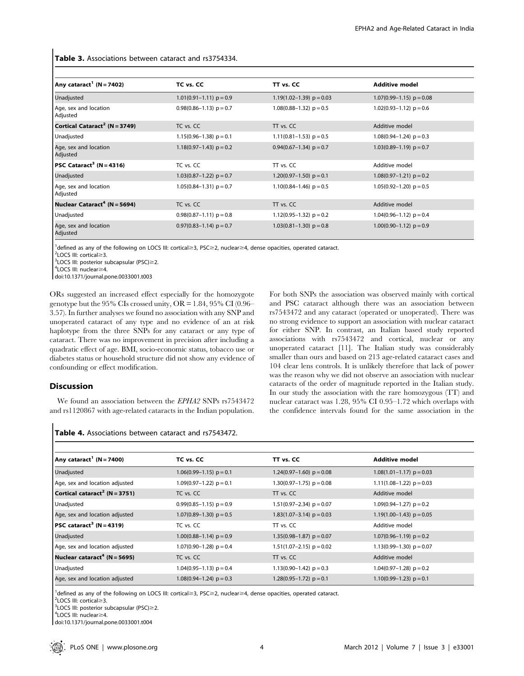## Table 3. Associations between cataract and rs3754334.

| Any cataract <sup>1</sup> (N = 7402)      | TC vs. CC                   | TT vs. CC                  | <b>Additive model</b>        |
|-------------------------------------------|-----------------------------|----------------------------|------------------------------|
| Unadjusted                                | $1.01(0.91-1.11) p = 0.9$   | $1.19(1.02-1.39)$ p = 0.03 | $1.07(0.99 - 1.15)$ p = 0.08 |
| Age, sex and location<br>Adjusted         | $0.98(0.86 - 1.13)$ p = 0.7 | $1.08(0.88-1.32)$ p = 0.5  | $1.02(0.93 - 1.12)$ p = 0.6  |
| Cortical Cataract <sup>2</sup> (N = 3749) | TC vs. CC                   | $\Pi$ vs. $CC$             | Additive model               |
| Unadjusted                                | $1.15(0.96-1.38)$ p = 0.1   | $1.11(0.81-1.53)$ p = 0.5  | $1.08(0.94-1.24) p = 0.3$    |
| Age, sex and location<br>Adjusted         | $1.18(0.97-1.43)$ p = 0.2   | $0.94(0.67-1.34)$ p = 0.7  | $1.03(0.89 - 1.19)$ p = 0.7  |
| $PSC$ Cataract <sup>3</sup> (N = 4316)    | TC vs. CC                   | TT vs. CC                  | Additive model               |
| Unadjusted                                | $1.03(0.87-1.22)$ p = 0.7   | $1.20(0.97-1.50)$ p = 0.1  | $1.08(0.97-1.21) p = 0.2$    |
| Age, sex and location<br>Adjusted         | $1.05(0.84-1.31) p = 0.7$   | $1.10(0.84-1.46) p = 0.5$  | $1.05(0.92-1.20)$ p = 0.5    |
| Nuclear Cataract <sup>4</sup> (N = 5694)  | TC vs. CC                   | $T$ vs. $C$ C              | Additive model               |
| Unadjusted                                | $0.98(0.87-1.11)$ p = 0.8   | 1.12 $(0.95-1.32)$ p = 0.2 | $1.04(0.96-1.12)$ p = 0.4    |
| Age, sex and location<br>Adjusted         | $0.97(0.83 - 1.14)$ p = 0.7 | $1.03(0.81-1.30)$ p = 0.8  | $1.00(0.90-1.12)$ p = 0.9    |

<sup>1</sup>defined as any of the following on LOCS III: cortical≥3, PSC≥2, nuclear≥4, dense opacities, operated cataract.<br><sup>2</sup>LOCS III: cortical>3

 $2$ LOCS III: cortical $\geq$ 3.

 $3$ LOCS III: posterior subcapsular (PSC) $\geq$ 2.

 $4$ LOCS III: nuclear $\geq$ 4. doi:10.1371/journal.pone.0033001.t003

ORs suggested an increased effect especially for the homozygote genotype but the 95% CIs crossed unity,  $OR = 1.84$ , 95% CI $(0.96 -$ 3.57). In further analyses we found no association with any SNP and unoperated cataract of any type and no evidence of an at risk haplotype from the three SNPs for any cataract or any type of cataract. There was no improvement in precision after including a quadratic effect of age. BMI, socio-economic status, tobacco use or diabetes status or household structure did not show any evidence of confounding or effect modification.

## Discussion

We found an association between the EPHA2 SNPs rs7543472 and rs1120867 with age-related cataracts in the Indian population. For both SNPs the association was observed mainly with cortical and PSC cataract although there was an association between rs7543472 and any cataract (operated or unoperated). There was no strong evidence to support an association with nuclear cataract for either SNP. In contrast, an Italian based study reported associations with rs7543472 and cortical, nuclear or any unoperated cataract [11]. The Italian study was considerably smaller than ours and based on 213 age-related cataract cases and 104 clear lens controls. It is unlikely therefore that lack of power was the reason why we did not observe an association with nuclear cataracts of the order of magnitude reported in the Italian study. In our study the association with the rare homozygous (TT) and nuclear cataract was 1.28, 95% CI 0.95–1.72 which overlaps with the confidence intervals found for the same association in the

# Table 4. Associations between cataract and rs7543472.

| Any cataract <sup>1</sup> (N = 7400)      | TC vs. CC                   | TT vs. CC                  | <b>Additive model</b>       |
|-------------------------------------------|-----------------------------|----------------------------|-----------------------------|
| Unadjusted                                | $1.06(0.99 - 1.15)$ p = 0.1 | $1.24(0.97-1.60) p = 0.08$ | $1.08(1.01-1.17)$ p = 0.03  |
| Age, sex and location adjusted            | $1.09(0.97-1.22)$ p = 0.1   | $1.30(0.97-1.75)$ p = 0.08 | $1.11(1.08-1.22)$ p = 0.03  |
| Cortical cataract <sup>2</sup> (N = 3751) | TC vs. CC                   | TT vs. CC                  | Additive model              |
| Unadjusted                                | $0.99(0.85-1.15)$ p = 0.9   | $1.51(0.97-2.34)$ p = 0.07 | $1.09(0.94 - 1.27)$ p = 0.2 |
| Age, sex and location adjusted            | $1.07(0.89 - 1.30)$ p = 0.5 | $1.83(1.07-3.14)$ p = 0.03 | $1.19(1.00-1.43)$ p = 0.05  |
| $PSC$ cataract <sup>3</sup> (N = 4319)    | TC vs. CC                   | TT vs. CC                  | Additive model              |
| Unadjusted                                | $1.00(0.88-1.14) p = 0.9$   | $1.35(0.98-1.87) p = 0.07$ | $1.07(0.96 - 1.19) p = 0.2$ |
| Age, sex and location adjusted            | $1.07(0.90-1.28)$ p = 0.4   | $1.51(1.07-2.15)$ p = 0.02 | 1.13(0.99-1.30) $p = 0.07$  |
| Nuclear cataract <sup>4</sup> (N = 5695)  | TC vs. CC                   | $\Pi$ vs. $CC$             | Additive model              |
| Unadjusted                                | $1.04(0.95-1.13)$ p = 0.4   | $1.13(0.90-1.42) p = 0.3$  | 1.04 $(0.97-1.28)$ p = 0.2  |
| Age, sex and location adjusted            | $1.08(0.94-1.24) p = 0.3$   | $1.28(0.95-1.72)$ p = 0.1  | $1.10(0.99 - 1.23)$ p = 0.1 |

 $^{1}$ defined as any of the following on LOCS III: cortical≥3, PSC≥2, nuclear≥4, dense opacities, operated cataract.<br><sup>2</sup>LOCS III: cortical>?

 $2$ LOCS III: cortical $\geq$ 3.

 $3$ LOCS III: posterior subcapsular (PSC) $\geq$ 2.

 $4$ LOCS III: nuclear $\geq$ 4.

doi:10.1371/journal.pone.0033001.t004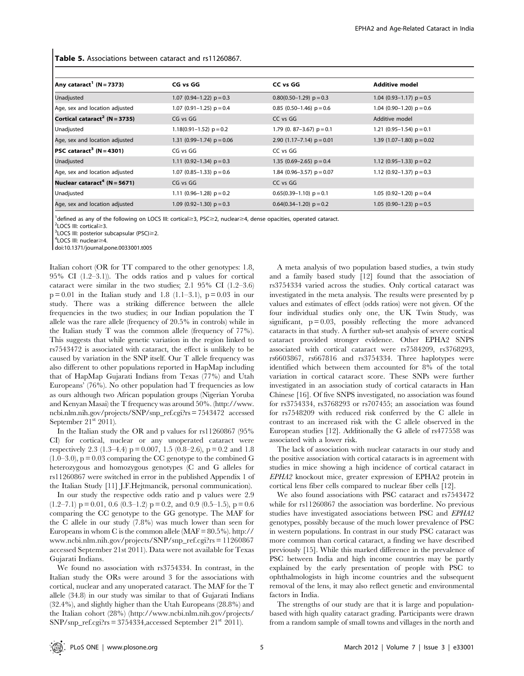Table 5. Associations between cataract and rs11260867.

| Any cataract <sup>1</sup> (N = 7373)      | CG vs GG                    | CC vs GG                      | <b>Additive model</b>       |
|-------------------------------------------|-----------------------------|-------------------------------|-----------------------------|
| Unadjusted                                | 1.07 $(0.94-1.22)$ p = 0.3  | $0.80(0.50-1.29)$ p = 0.3     | 1.04 $(0.93-1.17)$ p = 0.5  |
| Age, sex and location adjusted            | 1.07 $(0.91-1.25)$ p = 0.4  | 0.85 $(0.50-1.46)$ p = 0.6    | 1.04 $(0.90-1.20)$ p = 0.6  |
| Cortical cataract <sup>2</sup> (N = 3735) | CG vs GG                    | CC vs GG                      | Additive model              |
| Unadjusted                                | $1.18(0.91 - 1.52)$ p = 0.2 | 1.79 (0. 87–3.67) $p = 0.1$   | 1.21 $(0.95-1.54)$ p = 0.1  |
| Age, sex and location adjusted            | 1.31 (0.99-1.74) $p = 0.06$ | 2.90 $(1.17 - 7.14)$ p = 0.01 | 1.39 $(1.07-1.80)$ p = 0.02 |
| $PSC$ cataract <sup>3</sup> (N = 4301)    | CG vs GG                    | CC vs GG                      |                             |
| Unadjusted                                | 1.11 $(0.92-1.34)$ p = 0.3  | 1.35 $(0.69-2.65)$ p = 0.4    | 1.12 $(0.95-1.33)$ p = 0.2  |
| Age, sex and location adjusted            | 1.07 $(0.85-1.33)$ p = 0.6  | 1.84 (0.96-3.57) $p = 0.07$   | 1.12 $(0.92-1.37)$ p = 0.3  |
| Nuclear cataract <sup>4</sup> (N = 5671)  | CG vs GG                    | CC vs GG                      |                             |
| Unadjusted                                | 1.11 $(0.96-1.28)$ p = 0.2  | $0.65(0.39-1.10)$ p = 0.1     | 1.05 $(0.92-1.20)$ p = 0.4  |
| Age, sex and location adjusted            | 1.09 $(0.92-1.30)$ p = 0.3  | $0.64(0.34-1.20)$ p = 0.2     | 1.05 $(0.90-1.23)$ p = 0.5  |

<sup>1</sup>defined as any of the following on LOCS III: cortical≥3, PSC≥2, nuclear≥4, dense opacities, operated cataract.<br><sup>2</sup>LOCS III: cortical>3

 $2$ I OCS III: cortical $\geq$ 3.

 $3$ LOCS III: posterior subcapsular (PSC) $\geq$ 2.  $4$ LOCS III: nuclear $\geq$ 4.

doi:10.1371/journal.pone.0033001.t005

Italian cohort (OR for TT compared to the other genotypes: 1.8, 95% CI (1.2–3.1)). The odds ratios and p values for cortical cataract were similar in the two studies; 2.1 95% CI (1.2–3.6)  $p = 0.01$  in the Italian study and 1.8 (1.1–3.1),  $p = 0.03$  in our study. There was a striking difference between the allele frequencies in the two studies; in our Indian population the T allele was the rare allele (frequency of 20.5% in controls) while in the Italian study T was the common allele (frequency of 77%). This suggests that while genetic variation in the region linked to rs7543472 is associated with cataract, the effect is unlikely to be caused by variation in the SNP itself. Our T allele frequency was also different to other populations reported in HapMap including that of HapMap Gujarati Indians from Texas (77%) and Utah Europeans' (76%). No other population had T frequencies as low as ours although two African population groups (Nigerian Yoruba and Kenyan Masai) the T frequency was around 50%. (http://www. ncbi.nlm.nih.gov/projects/SNP/snp\_ref.cgi?rs = 7543472 accessed September  $21<sup>st</sup> 2011$ ).

In the Italian study the OR and p values for rs11260867 (95% CI) for cortical, nuclear or any unoperated cataract were respectively 2.3 (1.3–4.4)  $p = 0.007$ , 1.5 (0.8–2.6),  $p = 0.2$  and 1.8  $(1.0-3.0)$ ,  $p = 0.03$  comparing the CC genotype to the combined G heterozygous and homozygous genotypes (C and G alleles for rs11260867 were switched in error in the published Appendix 1 of the Italian Study [11] J.F.Hejtmancik, personal communication).

In our study the respective odds ratio and p values were 2.9  $(1.2–7.1)$   $p = 0.01$ , 0.6  $(0.3–1.2)$   $p = 0.2$ , and 0.9  $(0.5–1.5)$ ,  $p = 0.6$ comparing the CC genotype to the GG genotype. The MAF for the C allele in our study (7.8%) was much lower than seen for Europeans in whom C is the common allele  $(MAF = 80.5\%)$ . http:// www.ncbi.nlm.nih.gov/projects/SNP/snp\_ref.cgi?rs = 11260867 accessed September 21st 2011). Data were not available for Texas Gujarati Indians.

We found no association with rs3754334. In contrast, in the Italian study the ORs were around 3 for the associations with cortical, nuclear and any unoperated cataract. The MAF for the T allele (34.8) in our study was similar to that of Gujarati Indians (32.4%), and slightly higher than the Utah Europeans (28.8%) and the Italian cohort (28%) (http://www.ncbi.nlm.nih.gov/projects/  $SNP/snp_ref.cgi?rs = 3754334, accessed September 21<sup>st</sup> 2011.$ 

A meta analysis of two population based studies, a twin study and a family based study [12] found that the association of rs3754334 varied across the studies. Only cortical cataract was investigated in the meta analysis. The results were presented by p values and estimates of effect (odds ratios) were not given. Of the four individual studies only one, the UK Twin Study, was significant,  $p = 0.03$ , possibly reflecting the more advanced cataracts in that study. A further sub-set analysis of severe cortical cataract provided stronger evidence. Other EPHA2 SNPS associated with cortical cataract were rs7584209, rs3768293, rs6603867, rs667816 and rs3754334. Three haplotypes were identified which between them accounted for 8% of the total variation in cortical cataract score. These SNPs were further investigated in an association study of cortical cataracts in Han Chinese [16]. Of five SNPS investigated, no association was found for rs3754334, rs3768293 or rs707455; an association was found for rs7548209 with reduced risk conferred by the C allele in contrast to an increased risk with the C allele observed in the European studies [12]. Additionally the G allele of rs477558 was associated with a lower risk.

The lack of association with nuclear cataracts in our study and the positive association with cortical cataracts is in agreement with studies in mice showing a high incidence of cortical cataract in EPHA2 knockout mice, greater expression of EPHA2 protein in cortical lens fiber cells compared to nuclear fiber cells [12].

We also found associations with PSC cataract and rs7543472 while for rs11260867 the association was borderline. No previous studies have investigated associations between PSC and EPHA2 genotypes, possibly because of the much lower prevalence of PSC in western populations. In contrast in our study PSC cataract was more common than cortical cataract, a finding we have described previously [15]. While this marked difference in the prevalence of PSC between India and high income countries may be partly explained by the early presentation of people with PSC to ophthalmologists in high income countries and the subsequent removal of the lens, it may also reflect genetic and environmental factors in India.

The strengths of our study are that it is large and populationbased with high quality cataract grading. Participants were drawn from a random sample of small towns and villages in the north and